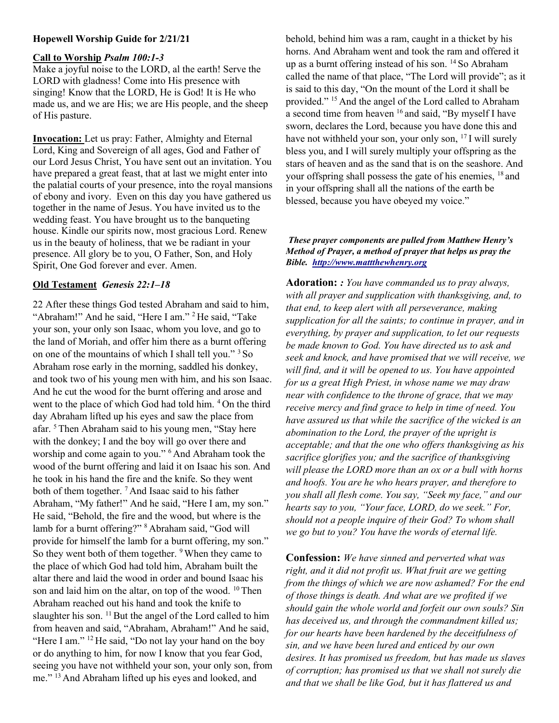# Hopewell Worship Guide for 2/21/21

## Call to Worship Psalm 100:1-3

Make a joyful noise to the LORD, al the earth! Serve the LORD with gladness! Come into His presence with singing! Know that the LORD, He is God! It is He who made us, and we are His; we are His people, and the sheep of His pasture.

Invocation: Let us pray: Father, Almighty and Eternal Lord, King and Sovereign of all ages, God and Father of our Lord Jesus Christ, You have sent out an invitation. You have prepared a great feast, that at last we might enter into the palatial courts of your presence, into the royal mansions of ebony and ivory. Even on this day you have gathered us together in the name of Jesus. You have invited us to the wedding feast. You have brought us to the banqueting house. Kindle our spirits now, most gracious Lord. Renew us in the beauty of holiness, that we be radiant in your presence. All glory be to you, O Father, Son, and Holy Spirit, One God forever and ever. Amen.

## Old Testament Genesis 22:1–18

22 After these things God tested Abraham and said to him, "Abraham!" And he said, "Here I am." <sup>2</sup> He said, "Take your son, your only son Isaac, whom you love, and go to the land of Moriah, and offer him there as a burnt offering on one of the mountains of which I shall tell you." <sup>3</sup>So Abraham rose early in the morning, saddled his donkey, and took two of his young men with him, and his son Isaac. And he cut the wood for the burnt offering and arose and went to the place of which God had told him. <sup>4</sup>On the third day Abraham lifted up his eyes and saw the place from afar. <sup>5</sup>Then Abraham said to his young men, "Stay here with the donkey; I and the boy will go over there and worship and come again to you." <sup>6</sup> And Abraham took the wood of the burnt offering and laid it on Isaac his son. And he took in his hand the fire and the knife. So they went both of them together. <sup>7</sup> And Isaac said to his father Abraham, "My father!" And he said, "Here I am, my son." He said, "Behold, the fire and the wood, but where is the lamb for a burnt offering?" <sup>8</sup>Abraham said, "God will provide for himself the lamb for a burnt offering, my son." So they went both of them together. <sup>9</sup>When they came to the place of which God had told him, Abraham built the altar there and laid the wood in order and bound Isaac his son and laid him on the altar, on top of the wood.  $10$  Then Abraham reached out his hand and took the knife to slaughter his son.  $^{11}$  But the angel of the Lord called to him from heaven and said, "Abraham, Abraham!" And he said, "Here I am." <sup>12</sup> He said, "Do not lay your hand on the boy or do anything to him, for now I know that you fear God, seeing you have not withheld your son, your only son, from me." <sup>13</sup>And Abraham lifted up his eyes and looked, and

behold, behind him was a ram, caught in a thicket by his horns. And Abraham went and took the ram and offered it up as a burnt offering instead of his son. <sup>14</sup>So Abraham called the name of that place, "The Lord will provide"; as it is said to this day, "On the mount of the Lord it shall be provided." <sup>15</sup> And the angel of the Lord called to Abraham a second time from heaven <sup>16</sup> and said, "By myself I have sworn, declares the Lord, because you have done this and have not withheld your son, your only son, <sup>17</sup>I will surely bless you, and I will surely multiply your offspring as the stars of heaven and as the sand that is on the seashore. And your offspring shall possess the gate of his enemies, <sup>18</sup> and in your offspring shall all the nations of the earth be blessed, because you have obeyed my voice."

## These prayer components are pulled from Matthew Henry's Method of Prayer, a method of prayer that helps us pray the Bible. http://www.mattthewhenry.org

Adoration: : You have commanded us to pray always, with all prayer and supplication with thanksgiving, and, to that end, to keep alert with all perseverance, making supplication for all the saints; to continue in prayer, and in everything, by prayer and supplication, to let our requests be made known to God. You have directed us to ask and seek and knock, and have promised that we will receive, we will find, and it will be opened to us. You have appointed for us a great High Priest, in whose name we may draw near with confidence to the throne of grace, that we may receive mercy and find grace to help in time of need. You have assured us that while the sacrifice of the wicked is an abomination to the Lord, the prayer of the upright is acceptable; and that the one who offers thanksgiving as his sacrifice glorifies you; and the sacrifice of thanksgiving will please the LORD more than an ox or a bull with horns and hoofs. You are he who hears prayer, and therefore to you shall all flesh come. You say, "Seek my face," and our hearts say to you, "Your face, LORD, do we seek." For, should not a people inquire of their God? To whom shall we go but to you? You have the words of eternal life.

**Confession:** We have sinned and perverted what was right, and it did not profit us. What fruit are we getting from the things of which we are now ashamed? For the end of those things is death. And what are we profited if we should gain the whole world and forfeit our own souls? Sin has deceived us, and through the commandment killed us; for our hearts have been hardened by the deceitfulness of sin, and we have been lured and enticed by our own desires. It has promised us freedom, but has made us slaves of corruption; has promised us that we shall not surely die and that we shall be like God, but it has flattered us and